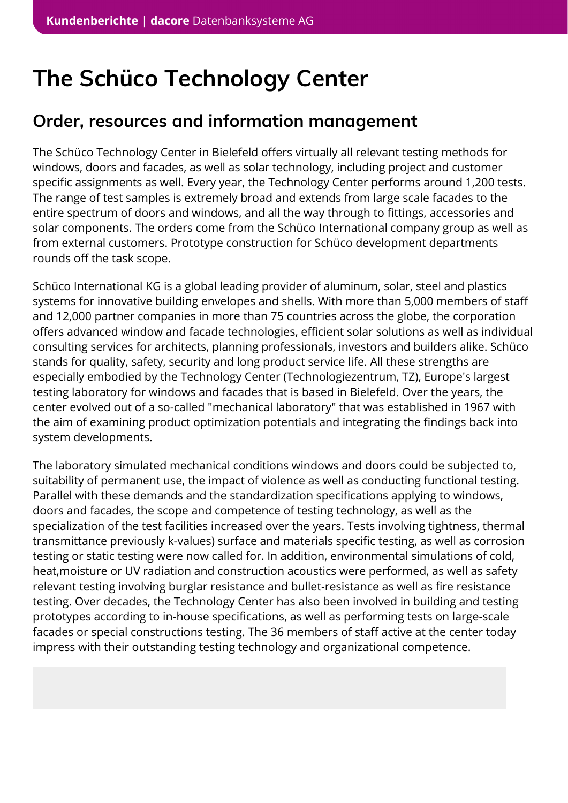# **The Schüco Technology Center**

# **Order, resources and information management**

The Schüco Technology Center in Bielefeld offers virtually all relevant testing methods for windows, doors and facades, as well as solar technology, including project and customer specific assignments as well. Every year, the Technology Center performs around 1,200 tests. The range of test samples is extremely broad and extends from large scale facades to the entire spectrum of doors and windows, and all the way through to fittings, accessories and solar components. The orders come from the Schüco International company group as well as from external customers. Prototype construction for Schüco development departments rounds off the task scope.

Schüco International KG is a global leading provider of aluminum, solar, steel and plastics systems for innovative building envelopes and shells. With more than 5,000 members of staff and 12,000 partner companies in more than 75 countries across the globe, the corporation offers advanced window and facade technologies, efficient solar solutions as well as individual consulting services for architects, planning professionals, investors and builders alike. Schüco stands for quality, safety, security and long product service life. All these strengths are especially embodied by the Technology Center (Technologiezentrum, TZ), Europe's largest testing laboratory for windows and facades that is based in Bielefeld. Over the years, the center evolved out of a so-called "mechanical laboratory" that was established in 1967 with the aim of examining product optimization potentials and integrating the findings back into system developments.

The laboratory simulated mechanical conditions windows and doors could be subjected to, suitability of permanent use, the impact of violence as well as conducting functional testing. Parallel with these demands and the standardization specifications applying to windows, doors and facades, the scope and competence of testing technology, as well as the specialization of the test facilities increased over the years. Tests involving tightness, thermal transmittance previously k-values) surface and materials specific testing, as well as corrosion testing or static testing were now called for. In addition, environmental simulations of cold, heat,moisture or UV radiation and construction acoustics were performed, as well as safety relevant testing involving burglar resistance and bullet-resistance as well as fire resistance testing. Over decades, the Technology Center has also been involved in building and testing prototypes according to in-house specifications, as well as performing tests on large-scale facades or special constructions testing. The 36 members of staff active at the center today impress with their outstanding testing technology and organizational competence.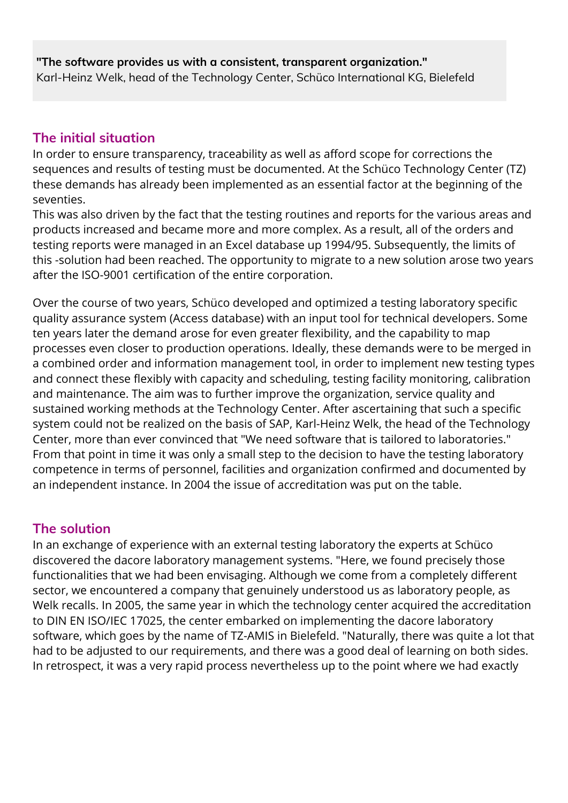#### **"The software provides us with a consistent, transparent organization."** Karl-Heinz Welk, head of the Technology Center, Schüco International KG, Bielefeld

## **The initial situation**

In order to ensure transparency, traceability as well as afford scope for corrections the sequences and results of testing must be documented. At the Schüco Technology Center (TZ) these demands has already been implemented as an essential factor at the beginning of the seventies.

This was also driven by the fact that the testing routines and reports for the various areas and products increased and became more and more complex. As a result, all of the orders and testing reports were managed in an Excel database up 1994/95. Subsequently, the limits of this -solution had been reached. The opportunity to migrate to a new solution arose two years after the ISO-9001 certification of the entire corporation.

Over the course of two years, Schüco developed and optimized a testing laboratory specific quality assurance system (Access database) with an input tool for technical developers. Some ten years later the demand arose for even greater flexibility, and the capability to map processes even closer to production operations. Ideally, these demands were to be merged in a combined order and information management tool, in order to implement new testing types and connect these flexibly with capacity and scheduling, testing facility monitoring, calibration and maintenance. The aim was to further improve the organization, service quality and sustained working methods at the Technology Center. After ascertaining that such a specific system could not be realized on the basis of SAP, Karl-Heinz Welk, the head of the Technology Center, more than ever convinced that "We need software that is tailored to laboratories." From that point in time it was only a small step to the decision to have the testing laboratory competence in terms of personnel, facilities and organization confirmed and documented by an independent instance. In 2004 the issue of accreditation was put on the table.

#### **The solution**

In an exchange of experience with an external testing laboratory the experts at Schüco discovered the dacore laboratory management systems. "Here, we found precisely those functionalities that we had been envisaging. Although we come from a completely different sector, we encountered a company that genuinely understood us as laboratory people, as Welk recalls. In 2005, the same year in which the technology center acquired the accreditation to DIN EN ISO/IEC 17025, the center embarked on implementing the dacore laboratory software, which goes by the name of TZ-AMIS in Bielefeld. "Naturally, there was quite a lot that had to be adjusted to our requirements, and there was a good deal of learning on both sides. In retrospect, it was a very rapid process nevertheless up to the point where we had exactly